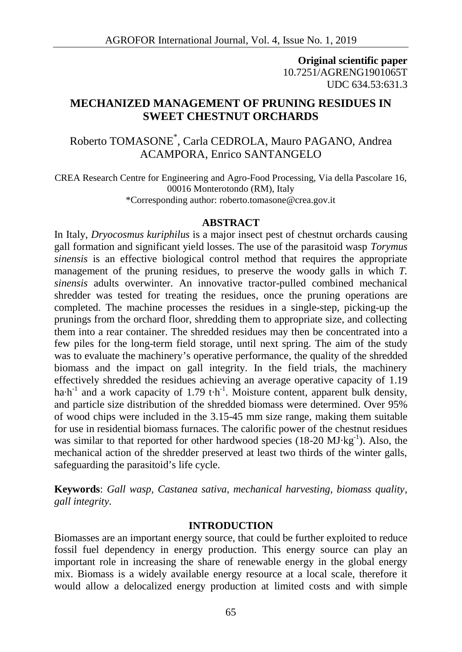**Original scientific paper** 10.7251/AGRENG1901065T UDC 634.53:631.3

# **MECHANIZED MANAGEMENT OF PRUNING RESIDUES IN SWEET CHESTNUT ORCHARDS**

## Roberto TOMASONE\* , Carla CEDROLA, Mauro PAGANO, Andrea ACAMPORA, Enrico SANTANGELO

CREA Research Centre for Engineering and Agro-Food Processing, Via della Pascolare 16, 00016 Monterotondo (RM), Italy \*Corresponding author: roberto.tomasone@crea.gov.it

#### **ABSTRACT**

In Italy, *Dryocosmus kuriphilus* is a major insect pest of chestnut orchards causing gall formation and significant yield losses. The use of the parasitoid wasp *Torymus sinensis* is an effective biological control method that requires the appropriate management of the pruning residues, to preserve the woody galls in which *T. sinensis* adults overwinter. An innovative tractor-pulled combined mechanical shredder was tested for treating the residues, once the pruning operations are completed. The machine processes the residues in a single-step, picking-up the prunings from the orchard floor, shredding them to appropriate size, and collecting them into a rear container. The shredded residues may then be concentrated into a few piles for the long-term field storage, until next spring. The aim of the study was to evaluate the machinery's operative performance, the quality of the shredded biomass and the impact on gall integrity. In the field trials, the machinery effectively shredded the residues achieving an average operative capacity of 1.19 ha⋅h<sup>-1</sup> and a work capacity of 1.79 t⋅h<sup>-1</sup>. Moisture content, apparent bulk density, and particle size distribution of the shredded biomass were determined. Over 95% of wood chips were included in the 3.15-45 mm size range, making them suitable for use in residential biomass furnaces. The calorific power of the chestnut residues was similar to that reported for other hardwood species (18-20 MJ⋅kg<sup>-1</sup>). Also, the mechanical action of the shredder preserved at least two thirds of the winter galls, safeguarding the parasitoid's life cycle.

**Keywords**: *Gall wasp, Castanea sativa, mechanical harvesting, biomass quality, gall integrity.*

### **INTRODUCTION**

Biomasses are an important energy source, that could be further exploited to reduce fossil fuel dependency in energy production. This energy source can play an important role in increasing the share of renewable energy in the global energy mix. Biomass is a widely available energy resource at a local scale, therefore it would allow a delocalized energy production at limited costs and with simple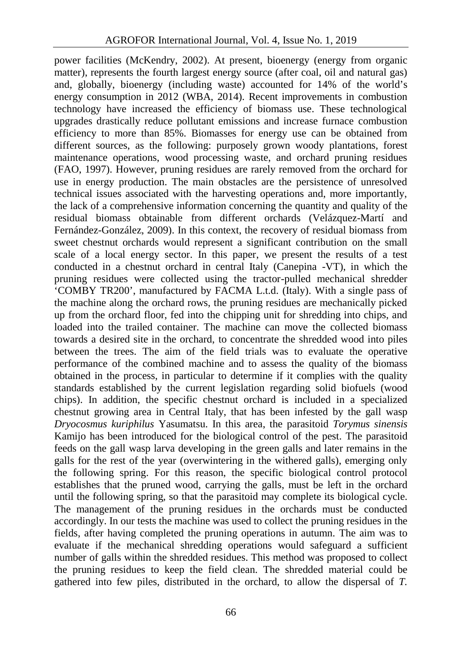power facilities (McKendry, 2002). At present, bioenergy (energy from organic matter), represents the fourth largest energy source (after coal, oil and natural gas) and, globally, bioenergy (including waste) accounted for 14% of the world's energy consumption in 2012 (WBA, 2014). Recent improvements in combustion technology have increased the efficiency of biomass use. These technological upgrades drastically reduce pollutant emissions and increase furnace combustion efficiency to more than 85%. Biomasses for energy use can be obtained from different sources, as the following: purposely grown woody plantations, forest maintenance operations, wood processing waste, and orchard pruning residues (FAO, 1997). However, pruning residues are rarely removed from the orchard for use in energy production. The main obstacles are the persistence of unresolved technical issues associated with the harvesting operations and, more importantly, the lack of a comprehensive information concerning the quantity and quality of the residual biomass obtainable from different orchards (Velázquez-Martí and Fernández-González, 2009). In this context, the recovery of residual biomass from sweet chestnut orchards would represent a significant contribution on the small scale of a local energy sector. In this paper, we present the results of a test conducted in a chestnut orchard in central Italy (Canepina -VT), in which the pruning residues were collected using the tractor-pulled mechanical shredder 'COMBY TR200', manufactured by FACMA L.t.d. (Italy). With a single pass of the machine along the orchard rows, the pruning residues are mechanically picked up from the orchard floor, fed into the chipping unit for shredding into chips, and loaded into the trailed container. The machine can move the collected biomass towards a desired site in the orchard, to concentrate the shredded wood into piles between the trees. The aim of the field trials was to evaluate the operative performance of the combined machine and to assess the quality of the biomass obtained in the process, in particular to determine if it complies with the quality standards established by the current legislation regarding solid biofuels (wood chips). In addition, the specific chestnut orchard is included in a specialized chestnut growing area in Central Italy, that has been infested by the gall wasp *Dryocosmus kuriphilus* Yasumatsu. In this area, the parasitoid *Torymus sinensis* Kamijo has been introduced for the biological control of the pest. The parasitoid feeds on the gall wasp larva developing in the green galls and later remains in the galls for the rest of the year (overwintering in the withered galls), emerging only the following spring. For this reason, the specific biological control protocol establishes that the pruned wood, carrying the galls, must be left in the orchard until the following spring, so that the parasitoid may complete its biological cycle. The management of the pruning residues in the orchards must be conducted accordingly. In our tests the machine was used to collect the pruning residues in the fields, after having completed the pruning operations in autumn. The aim was to evaluate if the mechanical shredding operations would safeguard a sufficient number of galls within the shredded residues. This method was proposed to collect the pruning residues to keep the field clean. The shredded material could be gathered into few piles, distributed in the orchard, to allow the dispersal of *T.*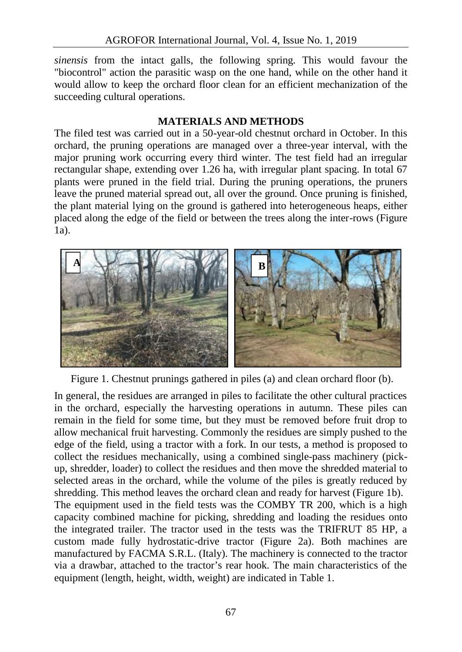*sinensis* from the intact galls, the following spring. This would favour the "biocontrol" action the parasitic wasp on the one hand, while on the other hand it would allow to keep the orchard floor clean for an efficient mechanization of the succeeding cultural operations.

## **MATERIALS AND METHODS**

The filed test was carried out in a 50-year-old chestnut orchard in October. In this orchard, the pruning operations are managed over a three-year interval, with the major pruning work occurring every third winter. The test field had an irregular rectangular shape, extending over 1.26 ha, with irregular plant spacing. In total 67 plants were pruned in the field trial. During the pruning operations, the pruners leave the pruned material spread out, all over the ground. Once pruning is finished, the plant material lying on the ground is gathered into heterogeneous heaps, either placed along the edge of the field or between the trees along the inter-rows (Figure 1a).



Figure 1. Chestnut prunings gathered in piles (a) and clean orchard floor (b).

In general, the residues are arranged in piles to facilitate the other cultural practices in the orchard, especially the harvesting operations in autumn. These piles can remain in the field for some time, but they must be removed before fruit drop to allow mechanical fruit harvesting. Commonly the residues are simply pushed to the edge of the field, using a tractor with a fork. In our tests, a method is proposed to collect the residues mechanically, using a combined single-pass machinery (pick up, shredder, loader) to collect the residues and then move the shredded material to selected areas in the orchard, while the volume of the piles is greatly reduced by shredding. This method leaves the orchard clean and ready for harvest (Figure 1b). The equipment used in the field tests was the COMBY TR 200, which is a high capacity combined machine for picking, shredding and loading the residues onto the integrated trailer. The tractor used in the tests was the TRIFRUT 85 HP, a custom made fully hydrostatic-drive tractor (Figure 2a). Both machines are manufactured by FACMA S.R.L. (Italy). The machinery is connected to the tractor via a drawbar, attached to the tractor's rear hook. The main characteristics of the equipment (length, height, width, weight) are indicated in Table 1.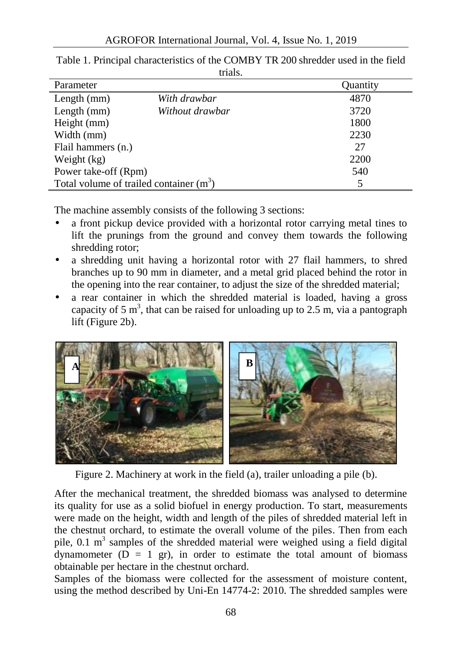|                                           | ulais.          |          |
|-------------------------------------------|-----------------|----------|
| Parameter                                 |                 | Quantity |
| Length (mm)                               | With drawbar    | 4870     |
| Length $(mm)$                             | Without drawbar | 3720     |
| Height (mm)                               |                 | 1800     |
| Width (mm)                                |                 | 2230     |
| Flail hammers (n.)                        |                 | 27       |
| Weight (kg)                               |                 | 2200     |
| Power take-off (Rpm)                      |                 | 540      |
| Total volume of trailed container $(m^3)$ |                 |          |

| Table 1. Principal characteristics of the COMBY TR 200 shredder used in the field |  |
|-----------------------------------------------------------------------------------|--|
| trials.                                                                           |  |

The machine assembly consists of the following 3 sections:

- a front pickup device provided with a horizontal rotor carrying metal tines to lift the prunings from the ground and convey them towards the following shredding rotor;
- a shredding unit having a horizontal rotor with 27 flail hammers, to shred branches up to 90 mm in diameter, and a metal grid placed behind the rotor in the opening into the rear container, to adjust the size of the shredded material;
- a rear container in which the shredded material is loaded, having a gross capacity of 5  $m^3$ , that can be raised for unloading up to 2.5 m, via a pantograph lift (Figure 2b).



Figure 2. Machinery at work in the field (a), trailer unloading a pile (b).

After the mechanical treatment, the shredded biomass was analysed to determine its quality for use as a solid biofuel in energy production. To start, measurements were made on the height, width and length of the piles of shredded material left in the chestnut orchard, to estimate the overall volume of the piles. Then from each pile,  $0.1 \text{ m}^3$  samples of the shredded material were weighed using a field digital dynamometer  $(D = 1 \text{ gr})$ , in order to estimate the total amount of biomass obtainable per hectare in the chestnut orchard.

Samples of the biomass were collected for the assessment of moisture content, using the method described by Uni-En 14774-2: 2010. The shredded samples were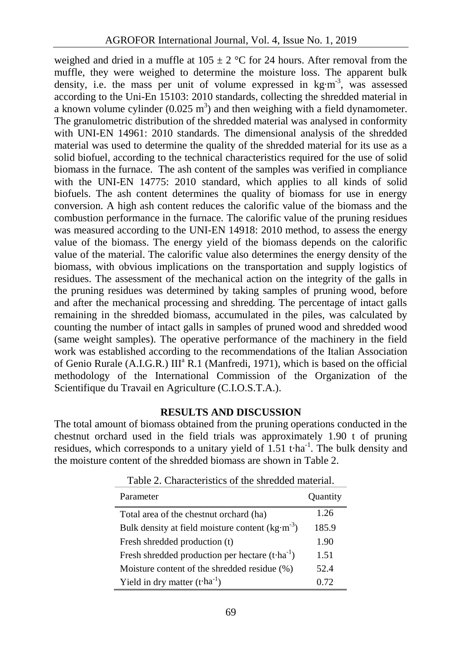weighed and dried in a muffle at  $105 \pm 2$  °C for 24 hours. After removal from the muffle, they were weighed to determine the moisture loss. The apparent bulk density, i.e. the mass per unit of volume expressed in kg⋅m<sup>-3</sup>, was assessed according to the Uni-En 15103: 2010 standards, collecting the shredded material in a known volume cylinder  $(0.025 \text{ m}^3)$  and then weighing with a field dynamometer. The granulometric distribution of the shredded material was analysed in conformity with UNI-EN 14961: 2010 standards. The dimensional analysis of the shredded material was used to determine the quality of the shredded material for its use as a solid biofuel, according to the technical characteristics required for the use of solid biomass in the furnace. The ash content of the samples was verified in compliance with the UNI-EN 14775: 2010 standard, which applies to all kinds of solid biofuels. The ash content determines the quality of biomass for use in energy conversion. A high ash content reduces the calorific value of the biomass and the combustion performance in the furnace. The calorific value of the pruning residues was measured according to the UNI-EN 14918: 2010 method, to assess the energy value of the biomass. The energy yield of the biomass depends on the calorific value of the material. The calorific value also determines the energy density of the biomass, with obvious implications on the transportation and supply logistics of residues. The assessment of the mechanical action on the integrity of the galls in the pruning residues was determined by taking samples of pruning wood, before and after the mechanical processing and shredding. The percentage of intact galls remaining in the shredded biomass, accumulated in the piles, was calculated by counting the number of intact galls in samples of pruned wood and shredded wood (same weight samples). The operative performance of the machinery in the field work was established according to the recommendations of the Italian Association of Genio Rurale (A.I.G.R.)  $III^a$  R.1 (Manfredi, 1971), which is based on the official methodology of the International Commission of the Organization of the Scientifique du Travail en Agriculture (C.I.O.S.T.A.).

### **RESULTS AND DISCUSSION**

The total amount of biomass obtained from the pruning operations conducted in the chestnut orchard used in the field trials was approximately 1.90 t of pruning residues, which corresponds to a unitary yield of 1.51 t⋅ha<sup>-1</sup>. The bulk density and the moisture content of the shredded biomass are shown in Table 2.

| Parameter                                                 | Quantity |
|-----------------------------------------------------------|----------|
| Total area of the chestnut orchard (ha)                   | 1.26     |
| Bulk density at field moisture content $(kg·m-3)$         | 185.9    |
| Fresh shredded production (t)                             | 1.90     |
| Fresh shredded production per hectare $(t \cdot ha^{-1})$ | 1.51     |
| Moisture content of the shredded residue (%)              | 52.4     |
| Yield in dry matter $(t-ha-1)$                            | 0.72     |

Table 2. Characteristics of the shredded material.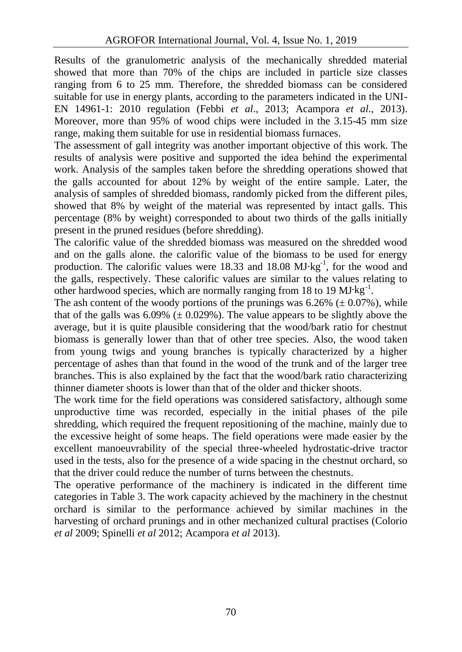Results of the granulometric analysis of the mechanically shredded material showed that more than 70% of the chips are included in particle size classes ranging from 6 to 25 mm. Therefore, the shredded biomass can be considered suitable for use in energy plants, according to the parameters indicated in the UNI- EN 14961-1: 2010 regulation (Febbi *et al*., 2013; Acampora *et al*., 2013). Moreover, more than 95% of wood chips were included in the 3.15-45 mm size range, making them suitable for use in residential biomass furnaces.

The assessment of gall integrity was another important objective of this work. The results of analysis were positive and supported the idea behind the experimental work. Analysis of the samples taken before the shredding operations showed that the galls accounted for about 12% by weight of the entire sample. Later, the analysis of samples of shredded biomass, randomly picked from the different piles, showed that 8% by weight of the material was represented by intact galls. This percentage (8% by weight) corresponded to about two thirds of the galls initially present in the pruned residues (before shredding).

The calorific value of the shredded biomass was measured on the shredded wood and on the galls alone. the calorific value of the biomass to be used for energy production. The calorific values were 18.33 and 18.08 MJ⋅kg<sup>-1</sup>, for the wood and the galls, respectively. These calorific values are similar to the values relating to other hardwood species, which are normally ranging from 18 to 19 MJ⋅kg<sup>-1</sup>.

The ash content of the woody portions of the prunings was 6.26% ( $\pm$  0.07%), while that of the galls was  $6.09\%$  ( $\pm$  0.029%). The value appears to be slightly above the average, but it is quite plausible considering that the wood/bark ratio for chestnut biomass is generally lower than that of other tree species. Also, the wood taken from young twigs and young branches is typically characterized by a higher percentage of ashes than that found in the wood of the trunk and of the larger tree branches. This is also explained by the fact that the wood/bark ratio characterizing thinner diameter shoots is lower than that of the older and thicker shoots.

The work time for the field operations was considered satisfactory, although some unproductive time was recorded, especially in the initial phases of the pile shredding, which required the frequent repositioning of the machine, mainly due to the excessive height of some heaps. The field operations were made easier by the excellent manoeuvrability of the special three-wheeled hydrostatic-drive tractor used in the tests, also for the presence of a wide spacing in the chestnut orchard, so that the driver could reduce the number of turns between the chestnuts.

The operative performance of the machinery is indicated in the different time categories in Table 3. The work capacity achieved by the machinery in the chestnut orchard is similar to the performance achieved by similar machines in the harvesting of orchard prunings and in other mechanized cultural practises (Colorio *et al* 2009; Spinelli *et al* 2012; Acampora *et al* 2013).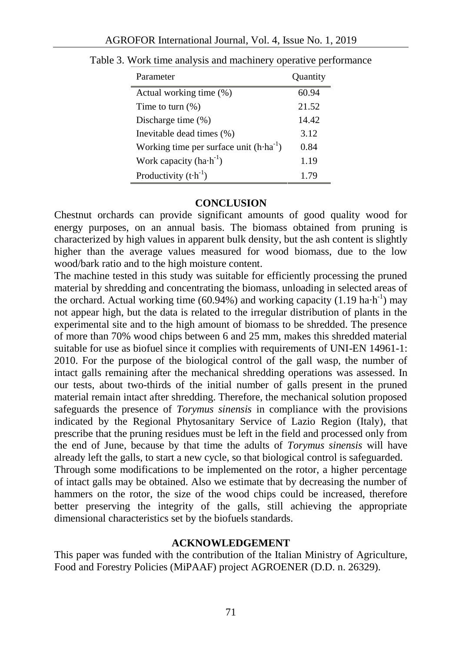| Parameter                                   | Quantity |
|---------------------------------------------|----------|
| Actual working time (%)                     | 60.94    |
| Time to turn $(\%)$                         | 21.52    |
| Discharge time $(\%)$                       | 14.42    |
| Inevitable dead times (%)                   | 3.12     |
| Working time per surface unit $(h·ha^{-1})$ | 0.84     |
| Work capacity ( $ha \cdot h^{-1}$ )         | 1.19     |
| Productivity $(t \cdot h^{-1})$             | 179      |

Table 3. Work time analysis and machinery operative performance

### **CONCLUSION**

Chestnut orchards can provide significant amounts of good quality wood for energy purposes, on an annual basis. The biomass obtained from pruning is characterized by high values in apparent bulk density, but the ash content is slightly higher than the average values measured for wood biomass, due to the low wood/bark ratio and to the high moisture content.

The machine tested in this study was suitable for efficiently processing the pruned material by shredding and concentrating the biomass, unloading in selected areas of the orchard. Actual working time (60.94%) and working capacity (1.19 ha⋅h<sup>-1</sup>) may not appear high, but the data is related to the irregular distribution of plants in the experimental site and to the high amount of biomass to be shredded. The presence of more than 70% wood chips between 6 and 25 mm, makes this shredded material suitable for use as biofuel since it complies with requirements of UNI-EN 14961-1: 2010. For the purpose of the biological control of the gall wasp, the number of intact galls remaining after the mechanical shredding operations was assessed. In our tests, about two-thirds of the initial number of galls present in the pruned material remain intact after shredding. Therefore, the mechanical solution proposed safeguards the presence of *Torymus sinensis* in compliance with the provisions indicated by the Regional Phytosanitary Service of Lazio Region (Italy), that prescribe that the pruning residues must be left in the field and processed only from the end of June, because by that time the adults of *Torymus sinensis* will have already left the galls, to start a new cycle, so that biological control is safeguarded.

Through some modifications to be implemented on the rotor, a higher percentage of intact galls may be obtained. Also we estimate that by decreasing the number of hammers on the rotor, the size of the wood chips could be increased, therefore better preserving the integrity of the galls, still achieving the appropriate dimensional characteristics set by the biofuels standards.

### **ACKNOWLEDGEMENT**

This paper was funded with the contribution of the Italian Ministry of Agriculture, Food and Forestry Policies (MiPAAF) project AGROENER (D.D. n. 26329).